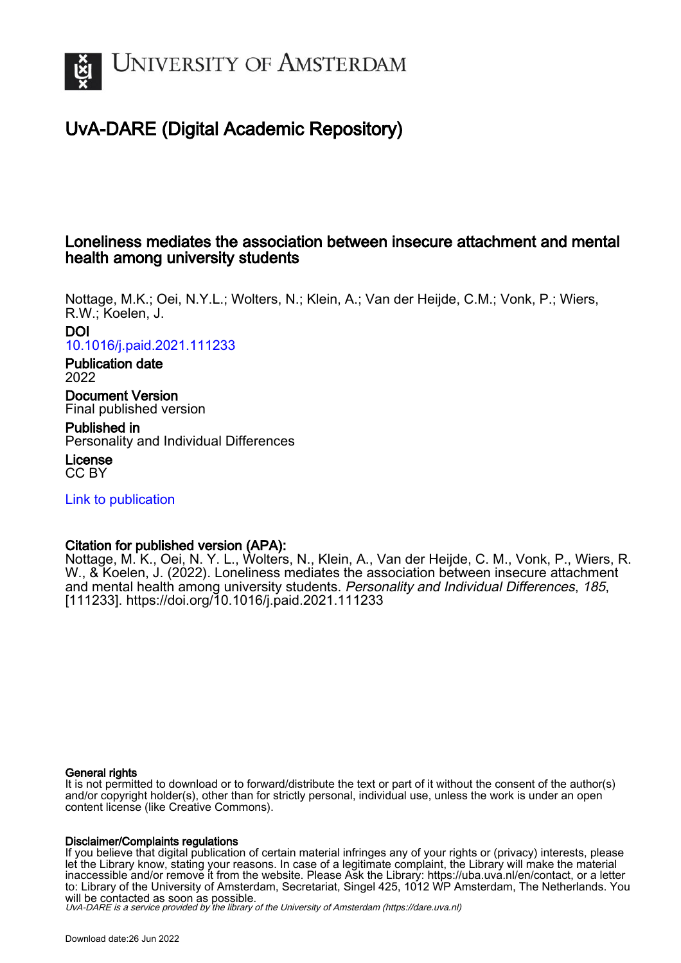

# UvA-DARE (Digital Academic Repository)

# Loneliness mediates the association between insecure attachment and mental health among university students

Nottage, M.K.; Oei, N.Y.L.; Wolters, N.; Klein, A.; Van der Heijde, C.M.; Vonk, P.; Wiers, R.W.; Koelen, J. DOI [10.1016/j.paid.2021.111233](https://doi.org/10.1016/j.paid.2021.111233)

# Publication date

2022 Document Version

Final published version

Published in Personality and Individual Differences

License CC BY

[Link to publication](https://dare.uva.nl/personal/pure/en/publications/loneliness-mediates-the-association-between-insecure-attachment-and-mental-health-among-university-students(d58ba1b8-89af-4fbb-bcae-d38508de7e32).html)

# Citation for published version (APA):

Nottage, M. K., Oei, N. Y. L., Wolters, N., Klein, A., Van der Heijde, C. M., Vonk, P., Wiers, R. W., & Koelen, J. (2022). Loneliness mediates the association between insecure attachment and mental health among university students. Personality and Individual Differences, 185, [111233].<https://doi.org/10.1016/j.paid.2021.111233>

# General rights

It is not permitted to download or to forward/distribute the text or part of it without the consent of the author(s) and/or copyright holder(s), other than for strictly personal, individual use, unless the work is under an open content license (like Creative Commons).

# Disclaimer/Complaints regulations

If you believe that digital publication of certain material infringes any of your rights or (privacy) interests, please let the Library know, stating your reasons. In case of a legitimate complaint, the Library will make the material inaccessible and/or remove it from the website. Please Ask the Library: https://uba.uva.nl/en/contact, or a letter to: Library of the University of Amsterdam, Secretariat, Singel 425, 1012 WP Amsterdam, The Netherlands. You will be contacted as soon as possible.

UvA-DARE is a service provided by the library of the University of Amsterdam (http*s*://dare.uva.nl)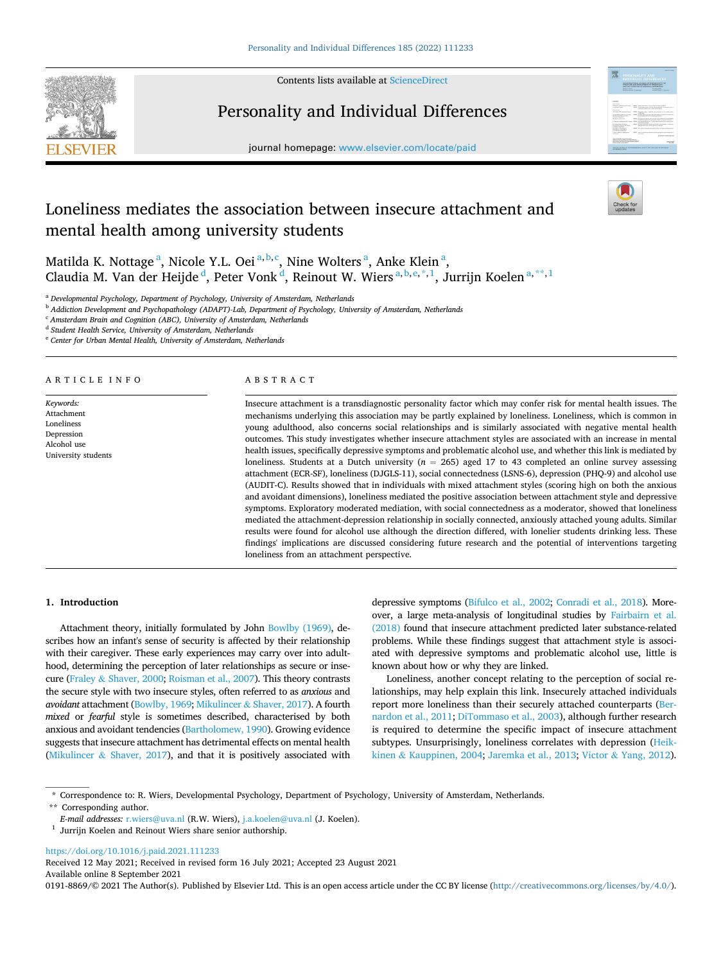

Contents lists available at [ScienceDirect](www.sciencedirect.com/science/journal/01918869)

# Personality and Individual Differences



journal homepage: [www.elsevier.com/locate/paid](https://www.elsevier.com/locate/paid)

# Loneliness mediates the association between insecure attachment and mental health among university students

Matilda K. Nottage <sup>a</sup>, Nicole Y.L. Oei <sup>a, b, c</sup>, Nine Wolters <sup>a</sup>, Anke Klein <sup>a</sup>, Claudia M. Van der Heijde d, Peter Vonk d, Reinout W. Wiers <sup>a, b, e, \*, 1</sup>, Jurrijn Koelen <sup>a, \*\*, 1</sup>

<sup>a</sup> *Developmental Psychology, Department of Psychology, University of Amsterdam, Netherlands* 

<sup>b</sup> *Addiction Development and Psychopathology (ADAPT)-Lab, Department of Psychology, University of Amsterdam, Netherlands* 

<sup>c</sup> *Amsterdam Brain and Cognition (ABC), University of Amsterdam, Netherlands* 

<sup>d</sup> *Student Health Service, University of Amsterdam, Netherlands* 

<sup>e</sup> *Center for Urban Mental Health, University of Amsterdam, Netherlands* 

#### ARTICLE INFO

*Keywords:*  Attachment Loneliness Depression Alcohol use University students

# ABSTRACT

Insecure attachment is a transdiagnostic personality factor which may confer risk for mental health issues. The mechanisms underlying this association may be partly explained by loneliness. Loneliness, which is common in young adulthood, also concerns social relationships and is similarly associated with negative mental health outcomes. This study investigates whether insecure attachment styles are associated with an increase in mental health issues, specifically depressive symptoms and problematic alcohol use, and whether this link is mediated by loneliness. Students at a Dutch university  $(n = 265)$  aged 17 to 43 completed an online survey assessing attachment (ECR-SF), loneliness (DJGLS-11), social connectedness (LSNS-6), depression (PHQ-9) and alcohol use (AUDIT-C). Results showed that in individuals with mixed attachment styles (scoring high on both the anxious and avoidant dimensions), loneliness mediated the positive association between attachment style and depressive symptoms. Exploratory moderated mediation, with social connectedness as a moderator, showed that loneliness mediated the attachment-depression relationship in socially connected, anxiously attached young adults. Similar results were found for alcohol use although the direction differed, with lonelier students drinking less. These findings' implications are discussed considering future research and the potential of interventions targeting loneliness from an attachment perspective.

# **1. Introduction**

Attachment theory, initially formulated by John [Bowlby \(1969\),](#page-6-0) describes how an infant's sense of security is affected by their relationship with their caregiver. These early experiences may carry over into adulthood, determining the perception of later relationships as secure or insecure (Fraley & [Shaver, 2000;](#page-6-0) [Roisman et al., 2007\)](#page-7-0). This theory contrasts the secure style with two insecure styles, often referred to as *anxious* and *avoidant* attachment ([Bowlby, 1969;](#page-6-0) Mikulincer & [Shaver, 2017\)](#page-7-0). A fourth *mixed* or *fearful* style is sometimes described, characterised by both anxious and avoidant tendencies ([Bartholomew, 1990](#page-6-0)). Growing evidence suggests that insecure attachment has detrimental effects on mental health (Mikulincer & [Shaver, 2017\)](#page-7-0), and that it is positively associated with

depressive symptoms [\(Bifulco et al., 2002](#page-6-0); [Conradi et al., 2018](#page-6-0)). Moreover, a large meta-analysis of longitudinal studies by [Fairbairn et al.](#page-6-0)  [\(2018\)](#page-6-0) found that insecure attachment predicted later substance-related problems. While these findings suggest that attachment style is associated with depressive symptoms and problematic alcohol use, little is known about how or why they are linked.

Loneliness, another concept relating to the perception of social relationships, may help explain this link. Insecurely attached individuals report more loneliness than their securely attached counterparts [\(Ber](#page-6-0)[nardon et al., 2011](#page-6-0); [DiTommaso et al., 2003\)](#page-6-0), although further research is required to determine the specific impact of insecure attachment subtypes. Unsurprisingly, loneliness correlates with depression ([Heik](#page-6-0)kinen & [Kauppinen, 2004;](#page-6-0) [Jaremka et al., 2013;](#page-7-0) Victor & [Yang, 2012](#page-7-0)).

<https://doi.org/10.1016/j.paid.2021.111233>

Available online 8 September 2021 Received 12 May 2021; Received in revised form 16 July 2021; Accepted 23 August 2021

0191-8869/© 2021 The Author(s). Published by Elsevier Ltd. This is an open access article under the CC BY license [\(http://creativecommons.org/licenses/by/4.0/\)](http://creativecommons.org/licenses/by/4.0/).

<sup>\*</sup> Correspondence to: R. Wiers, Developmental Psychology, Department of Psychology, University of Amsterdam, Netherlands.

<sup>\*\*</sup> Corresponding author.<br>E-mail addresses: r.wiers@uva.nl (R.W. Wiers), j.a.koelen@uva.nl (J. Koelen).

<sup>&</sup>lt;sup>1</sup> Jurrijn Koelen and Reinout Wiers share senior authorship.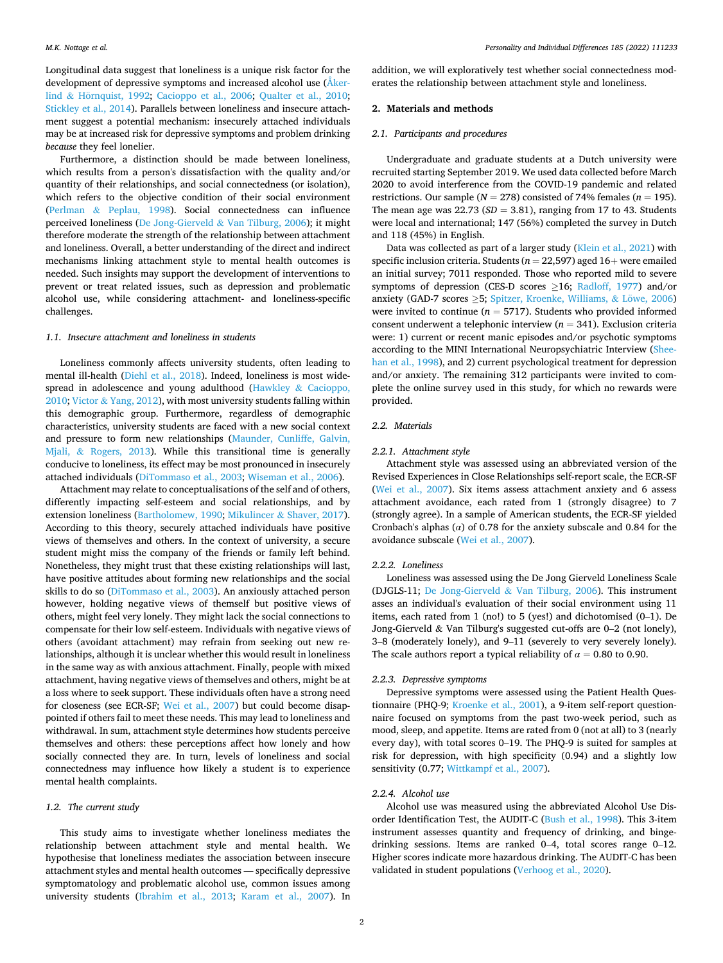Longitudinal data suggest that loneliness is a unique risk factor for the development of depressive symptoms and increased alcohol use [\(Åker-](#page-6-0)lind & Hörnquist, 1992; [Cacioppo et al., 2006](#page-6-0); [Qualter et al., 2010](#page-7-0); [Stickley et al., 2014](#page-7-0)). Parallels between loneliness and insecure attachment suggest a potential mechanism: insecurely attached individuals may be at increased risk for depressive symptoms and problem drinking *because* they feel lonelier.

Furthermore, a distinction should be made between loneliness, which results from a person's dissatisfaction with the quality and/or quantity of their relationships, and social connectedness (or isolation), which refers to the objective condition of their social environment (Perlman & [Peplau, 1998](#page-7-0)). Social connectedness can influence perceived loneliness (De Jong-Gierveld & [Van Tilburg, 2006](#page-6-0)); it might therefore moderate the strength of the relationship between attachment and loneliness. Overall, a better understanding of the direct and indirect mechanisms linking attachment style to mental health outcomes is needed. Such insights may support the development of interventions to prevent or treat related issues, such as depression and problematic alcohol use, while considering attachment- and loneliness-specific challenges.

# *1.1. Insecure attachment and loneliness in students*

Loneliness commonly affects university students, often leading to mental ill-health ([Diehl et al., 2018\)](#page-6-0). Indeed, loneliness is most widespread in adolescence and young adulthood (Hawkley & [Cacioppo,](#page-6-0)  [2010;](#page-6-0) Victor & [Yang, 2012](#page-7-0)), with most university students falling within this demographic group. Furthermore, regardless of demographic characteristics, university students are faced with a new social context and pressure to form new relationships [\(Maunder, Cunliffe, Galvin,](#page-7-0)  Mjali, & [Rogers, 2013\)](#page-7-0). While this transitional time is generally conducive to loneliness, its effect may be most pronounced in insecurely attached individuals ([DiTommaso et al., 2003;](#page-6-0) [Wiseman et al., 2006](#page-7-0)).

Attachment may relate to conceptualisations of the self and of others, differently impacting self-esteem and social relationships, and by extension loneliness [\(Bartholomew, 1990](#page-6-0); Mikulincer & [Shaver, 2017](#page-7-0)). According to this theory, securely attached individuals have positive views of themselves and others. In the context of university, a secure student might miss the company of the friends or family left behind. Nonetheless, they might trust that these existing relationships will last, have positive attitudes about forming new relationships and the social skills to do so ([DiTommaso et al., 2003](#page-6-0)). An anxiously attached person however, holding negative views of themself but positive views of others, might feel very lonely. They might lack the social connections to compensate for their low self-esteem. Individuals with negative views of others (avoidant attachment) may refrain from seeking out new relationships, although it is unclear whether this would result in loneliness in the same way as with anxious attachment. Finally, people with mixed attachment, having negative views of themselves and others, might be at a loss where to seek support. These individuals often have a strong need for closeness (see ECR-SF; [Wei et al., 2007\)](#page-7-0) but could become disappointed if others fail to meet these needs. This may lead to loneliness and withdrawal. In sum, attachment style determines how students perceive themselves and others: these perceptions affect how lonely and how socially connected they are. In turn, levels of loneliness and social connectedness may influence how likely a student is to experience mental health complaints.

#### *1.2. The current study*

This study aims to investigate whether loneliness mediates the relationship between attachment style and mental health. We hypothesise that loneliness mediates the association between insecure attachment styles and mental health outcomes — specifically depressive symptomatology and problematic alcohol use, common issues among university students [\(Ibrahim et al., 2013;](#page-7-0) [Karam et al., 2007\)](#page-7-0). In addition, we will exploratively test whether social connectedness moderates the relationship between attachment style and loneliness.

# **2. Materials and methods**

# *2.1. Participants and procedures*

Undergraduate and graduate students at a Dutch university were recruited starting September 2019. We used data collected before March 2020 to avoid interference from the COVID-19 pandemic and related restrictions. Our sample ( $N = 278$ ) consisted of 74% females ( $n = 195$ ). The mean age was  $22.73$  ( $SD = 3.81$ ), ranging from 17 to 43. Students were local and international; 147 (56%) completed the survey in Dutch and 118 (45%) in English.

Data was collected as part of a larger study ([Klein et al., 2021](#page-7-0)) with specific inclusion criteria. Students ( $n = 22,597$ ) aged 16+ were emailed an initial survey; 7011 responded. Those who reported mild to severe symptoms of depression (CES-D scores >16; [Radloff, 1977\)](#page-7-0) and/or anxiety (GAD-7 scores  $\geq$ 5; [Spitzer, Kroenke, Williams,](#page-7-0) & Löwe, 2006) were invited to continue ( $n = 5717$ ). Students who provided informed consent underwent a telephonic interview (*n* = 341). Exclusion criteria were: 1) current or recent manic episodes and/or psychotic symptoms according to the MINI International Neuropsychiatric Interview ([Shee](#page-7-0)[han et al., 1998\)](#page-7-0), and 2) current psychological treatment for depression and/or anxiety. The remaining 312 participants were invited to complete the online survey used in this study, for which no rewards were provided.

### *2.2. Materials*

#### *2.2.1. Attachment style*

Attachment style was assessed using an abbreviated version of the Revised Experiences in Close Relationships self-report scale, the ECR-SF ([Wei et al., 2007\)](#page-7-0). Six items assess attachment anxiety and 6 assess attachment avoidance, each rated from 1 (strongly disagree) to 7 (strongly agree). In a sample of American students, the ECR-SF yielded Cronbach's alphas (*α*) of 0.78 for the anxiety subscale and 0.84 for the avoidance subscale [\(Wei et al., 2007\)](#page-7-0).

## *2.2.2. Loneliness*

Loneliness was assessed using the De Jong Gierveld Loneliness Scale (DJGLS-11; De Jong-Gierveld & [Van Tilburg, 2006](#page-6-0)). This instrument asses an individual's evaluation of their social environment using 11 items, each rated from 1 (no!) to 5 (yes!) and dichotomised (0–1). De Jong-Gierveld & Van Tilburg's suggested cut-offs are 0–2 (not lonely), 3–8 (moderately lonely), and 9–11 (severely to very severely lonely). The scale authors report a typical reliability of  $\alpha = 0.80$  to 0.90.

#### *2.2.3. Depressive symptoms*

Depressive symptoms were assessed using the Patient Health Questionnaire (PHQ-9; [Kroenke et al., 2001\)](#page-7-0), a 9-item self-report questionnaire focused on symptoms from the past two-week period, such as mood, sleep, and appetite. Items are rated from 0 (not at all) to 3 (nearly every day), with total scores 0–19. The PHQ-9 is suited for samples at risk for depression, with high specificity (0.94) and a slightly low sensitivity (0.77; [Wittkampf et al., 2007](#page-7-0)).

# *2.2.4. Alcohol use*

Alcohol use was measured using the abbreviated Alcohol Use Disorder Identification Test, the AUDIT-C ([Bush et al., 1998](#page-6-0)). This 3-item instrument assesses quantity and frequency of drinking, and bingedrinking sessions. Items are ranked 0–4, total scores range 0–12. Higher scores indicate more hazardous drinking. The AUDIT-C has been validated in student populations [\(Verhoog et al., 2020\)](#page-7-0).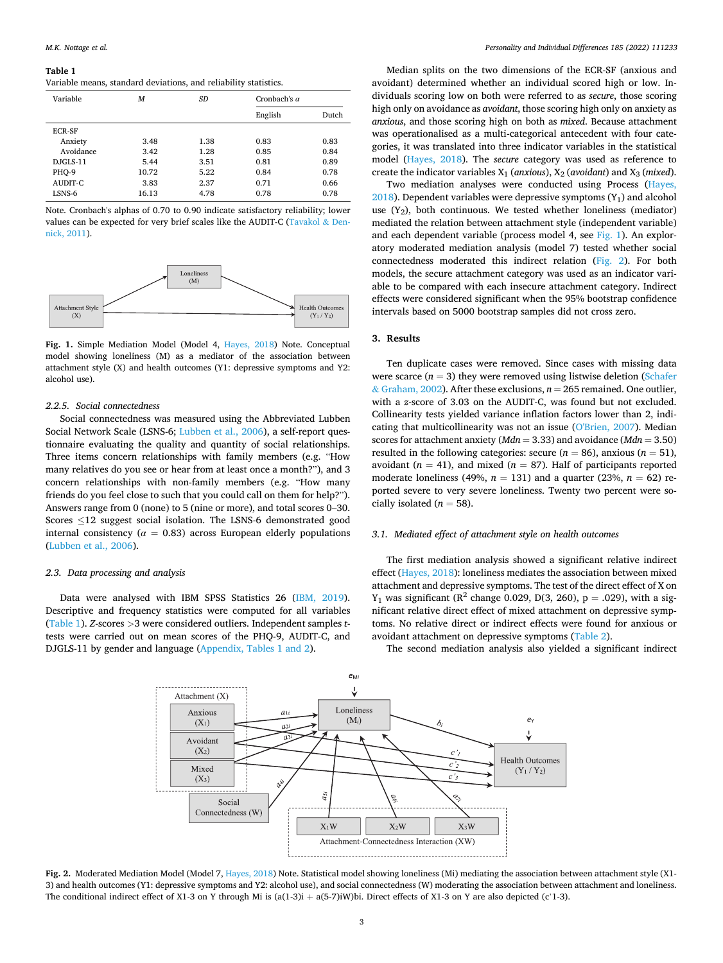#### <span id="page-3-0"></span>**Table 1**

Variable means, standard deviations, and reliability statistics.

| Variable      | M     | SD   | Cronbach's $\alpha$ |       |  |
|---------------|-------|------|---------------------|-------|--|
|               |       |      | English             | Dutch |  |
| <b>ECR-SF</b> |       |      |                     |       |  |
| Anxiety       | 3.48  | 1.38 | 0.83                | 0.83  |  |
| Avoidance     | 3.42  | 1.28 | 0.85                | 0.84  |  |
| $DIGI.S-11$   | 5.44  | 3.51 | 0.81                | 0.89  |  |
| PHO-9         | 10.72 | 5.22 | 0.84                | 0.78  |  |
| AUDIT-C       | 3.83  | 2.37 | 0.71                | 0.66  |  |
| LSNS-6        | 16.13 | 4.78 | 0.78                | 0.78  |  |

Note. Cronbach's alphas of 0.70 to 0.90 indicate satisfactory reliability; lower values can be expected for very brief scales like the AUDIT-C [\(Tavakol](#page-7-0) & Den[nick, 2011](#page-7-0)).



**Fig. 1.** Simple Mediation Model (Model 4, [Hayes, 2018\)](#page-6-0) Note. Conceptual model showing loneliness (M) as a mediator of the association between attachment style (X) and health outcomes (Y1: depressive symptoms and Y2: alcohol use).

## *2.2.5. Social connectedness*

Social connectedness was measured using the Abbreviated Lubben Social Network Scale (LSNS-6; [Lubben et al., 2006\)](#page-7-0), a self-report questionnaire evaluating the quality and quantity of social relationships. Three items concern relationships with family members (e.g. "How many relatives do you see or hear from at least once a month?"), and 3 concern relationships with non-family members (e.g. "How many friends do you feel close to such that you could call on them for help?"). Answers range from 0 (none) to 5 (nine or more), and total scores 0–30. Scores ≤12 suggest social isolation. The LSNS-6 demonstrated good internal consistency ( $\alpha = 0.83$ ) across European elderly populations ([Lubben et al., 2006](#page-7-0)).

# *2.3. Data processing and analysis*

Data were analysed with IBM SPSS Statistics 26 ([IBM, 2019](#page-6-0)). Descriptive and frequency statistics were computed for all variables (Table 1). *Z*-scores *>*3 were considered outliers. Independent samples *t*tests were carried out on mean scores of the PHQ-9, AUDIT-C, and DJGLS-11 by gender and language [\(Appendix, Tables 1 and 2](#page-6-0)).

Median splits on the two dimensions of the ECR-SF (anxious and avoidant) determined whether an individual scored high or low. Individuals scoring low on both were referred to as *secure*, those scoring high only on avoidance as *avoidant*, those scoring high only on anxiety as *anxious*, and those scoring high on both as *mixed*. Because attachment was operationalised as a multi-categorical antecedent with four categories, it was translated into three indicator variables in the statistical model [\(Hayes, 2018\)](#page-6-0). The *secure* category was used as reference to create the indicator variables  $X_1$  (*anxious*),  $X_2$  (*avoidant*) and  $X_3$  (*mixed*).

Two mediation analyses were conducted using Process [\(Hayes,](#page-6-0)   $2018$ ). Dependent variables were depressive symptoms (Y<sub>1</sub>) and alcohol use  $(Y_2)$ , both continuous. We tested whether loneliness (mediator) mediated the relation between attachment style (independent variable) and each dependent variable (process model 4, see Fig. 1). An exploratory moderated mediation analysis (model 7) tested whether social connectedness moderated this indirect relation (Fig. 2). For both models, the secure attachment category was used as an indicator variable to be compared with each insecure attachment category. Indirect effects were considered significant when the 95% bootstrap confidence intervals based on 5000 bootstrap samples did not cross zero.

#### **3. Results**

Ten duplicate cases were removed. Since cases with missing data were scarce  $(n = 3)$  they were removed using listwise deletion (Schafer & [Graham, 2002](#page-7-0)). After these exclusions,  $n = 265$  remained. One outlier, with a *z*-score of 3.03 on the AUDIT-C, was found but not excluded. Collinearity tests yielded variance inflation factors lower than 2, indicating that multicollinearity was not an issue [\(O'Brien, 2007](#page-7-0)). Median scores for attachment anxiety (*Mdn* = 3.33) and avoidance (*Mdn* = 3.50) resulted in the following categories: secure  $(n = 86)$ , anxious  $(n = 51)$ , avoidant ( $n = 41$ ), and mixed ( $n = 87$ ). Half of participants reported moderate loneliness (49%,  $n = 131$ ) and a quarter (23%,  $n = 62$ ) reported severe to very severe loneliness. Twenty two percent were socially isolated  $(n = 58)$ .

#### *3.1. Mediated effect of attachment style on health outcomes*

The first mediation analysis showed a significant relative indirect effect ([Hayes, 2018](#page-6-0)): loneliness mediates the association between mixed attachment and depressive symptoms. The test of the direct effect of X on  $Y_1$  was significant ( $R^2$  change 0.029, D(3, 260),  $p = .029$ ), with a significant relative direct effect of mixed attachment on depressive symptoms. No relative direct or indirect effects were found for anxious or avoidant attachment on depressive symptoms [\(Table 2\)](#page-4-0).

The second mediation analysis also yielded a significant indirect



**Fig. 2.** Moderated Mediation Model (Model 7, [Hayes, 2018\)](#page-6-0) Note. Statistical model showing loneliness (Mi) mediating the association between attachment style (X1- 3) and health outcomes (Y1: depressive symptoms and Y2: alcohol use), and social connectedness (W) moderating the association between attachment and loneliness. The conditional indirect effect of X1-3 on Y through Mi is  $(a(1-3)i + a(5-7)iW)$ bi. Direct effects of X1-3 on Y are also depicted (c'1-3).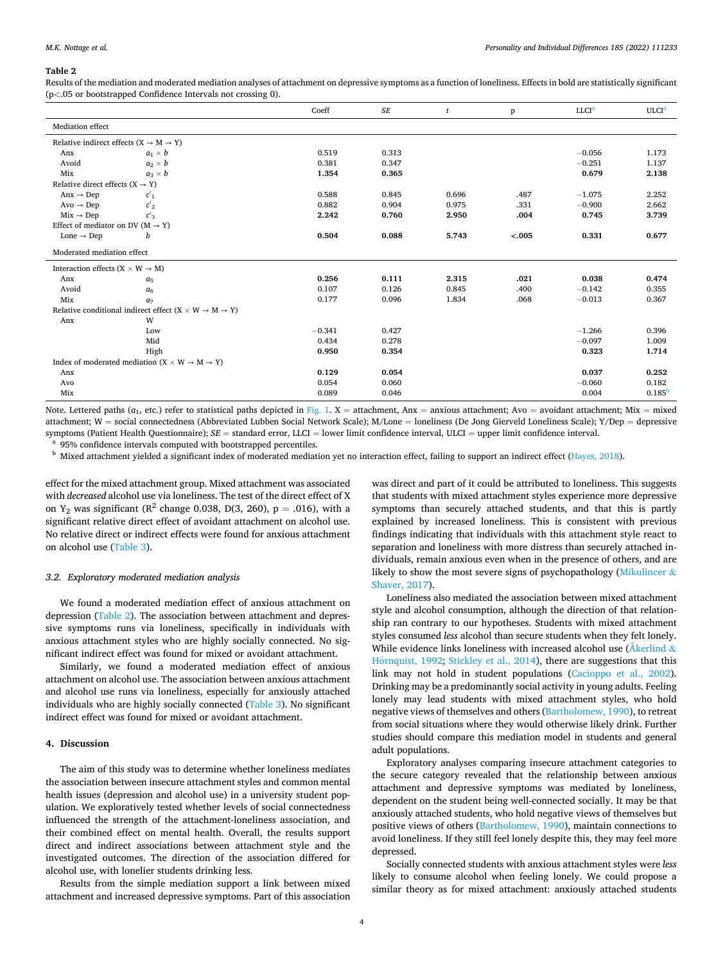#### <span id="page-4-0"></span>**Table 2**

Results of the mediation and moderated mediation analyses of attachment on depressive symptoms as a function of loneliness. Effects in bold are statistically significant (p*<*.05 or bootstrapped Confidence Intervals not crossing 0).

|                                                             |                                                                                     | Coeff    | <b>SE</b> | $\mathbf{t}$ | p       | LLCI <sup>a</sup> | ULCI <sup>a</sup>  |
|-------------------------------------------------------------|-------------------------------------------------------------------------------------|----------|-----------|--------------|---------|-------------------|--------------------|
| Mediation effect                                            |                                                                                     |          |           |              |         |                   |                    |
| Relative indirect effects $(X \rightarrow M \rightarrow Y)$ |                                                                                     |          |           |              |         |                   |                    |
| Anx                                                         | $a_1 \times b$                                                                      | 0.519    | 0.313     |              |         | $-0.056$          | 1.173              |
| Avoid                                                       | $a_2 \times b$                                                                      | 0.381    | 0.347     |              |         | $-0.251$          | 1.137              |
| Mix                                                         | $a_3 \times b$                                                                      | 1.354    | 0.365     |              |         | 0.679             | 2.138              |
| Relative direct effects $(X \rightarrow Y)$                 |                                                                                     |          |           |              |         |                   |                    |
| Anx $\rightarrow$ Dep                                       | c <sub>1</sub>                                                                      | 0.588    | 0.845     | 0.696        | .487    | $-1.075$          | 2.252              |
| $\text{Avo} \rightarrow \text{Dep}$                         | $c'_2$                                                                              | 0.882    | 0.904     | 0.975        | .331    | $-0.900$          | 2.662              |
| $Mix \rightarrow Dep$                                       | $c'_{3}$                                                                            | 2.242    | 0.760     | 2.950        | .004    | 0.745             | 3.739              |
| Effect of mediator on DV ( $M \rightarrow Y$ )              |                                                                                     |          |           |              |         |                   |                    |
| Lone $\rightarrow$ Dep                                      | b                                                                                   | 0.504    | 0.088     | 5.743        | $-.005$ | 0.331             | 0.677              |
| Moderated mediation effect                                  |                                                                                     |          |           |              |         |                   |                    |
| Interaction effects ( $X \times W \rightarrow M$ )          |                                                                                     |          |           |              |         |                   |                    |
| Anx                                                         | a <sub>5</sub>                                                                      | 0.256    | 0.111     | 2.315        | .021    | 0.038             | 0.474              |
| Avoid                                                       | a <sub>6</sub>                                                                      | 0.107    | 0.126     | 0.845        | .400    | $-0.142$          | 0.355              |
| Mix                                                         | a <sub>7</sub>                                                                      | 0.177    | 0.096     | 1.834        | .068    | $-0.013$          | 0.367              |
|                                                             | Relative conditional indirect effect (X $\times$ W $\rightarrow$ M $\rightarrow$ Y) |          |           |              |         |                   |                    |
| Anx                                                         | W                                                                                   |          |           |              |         |                   |                    |
|                                                             | Low                                                                                 | $-0.341$ | 0.427     |              |         | $-1.266$          | 0.396              |
|                                                             | Mid                                                                                 | 0.434    | 0.278     |              |         | $-0.097$          | 1.009              |
|                                                             | High                                                                                | 0.950    | 0.354     |              |         | 0.323             | 1.714              |
|                                                             | Index of moderated mediation $(X \times W \rightarrow M \rightarrow Y)$             |          |           |              |         |                   |                    |
| Anx                                                         |                                                                                     | 0.129    | 0.054     |              |         | 0.037             | 0.252              |
| Avo                                                         |                                                                                     | 0.054    | 0.060     |              |         | $-0.060$          | 0.182              |
| Mix                                                         |                                                                                     | 0.089    | 0.046     |              |         | 0.004             | 0.185 <sup>b</sup> |

Note. Lettered paths  $(a_1, etc.)$  refer to statistical paths depicted in [Fig. 1](#page-3-0). X = attachment, Anx = anxious attachment; Avo = avoidant attachment; Mix = mixed attachment; W = social connectedness (Abbreviated Lubben Social Network Scale); M/Lone = loneliness (De Jong Gierveld Loneliness Scale); Y/Dep = depressive symptoms (Patient Health Questionnaire);  $SE$  = standard error, LLCI = lower limit confidence interval, ULCI = upper limit confidence interval.<br><sup>a</sup> 95% confidence intervals computed with bootstrapped percentiles.<br><sup>b</sup> Mixed

effect for the mixed attachment group. Mixed attachment was associated with *decreased* alcohol use via loneliness. The test of the direct effect of X on  $Y_2$  was significant ( $R^2$  change 0.038, D(3, 260), p = .016), with a significant relative direct effect of avoidant attachment on alcohol use. No relative direct or indirect effects were found for anxious attachment on alcohol use ([Table 3](#page-5-0)).

## *3.2. Exploratory moderated mediation analysis*

We found a moderated mediation effect of anxious attachment on depression (Table 2). The association between attachment and depressive symptoms runs via loneliness, specifically in individuals with anxious attachment styles who are highly socially connected. No significant indirect effect was found for mixed or avoidant attachment.

Similarly, we found a moderated mediation effect of anxious attachment on alcohol use. The association between anxious attachment and alcohol use runs via loneliness, especially for anxiously attached individuals who are highly socially connected [\(Table 3\)](#page-5-0). No significant indirect effect was found for mixed or avoidant attachment.

# **4. Discussion**

The aim of this study was to determine whether loneliness mediates the association between insecure attachment styles and common mental health issues (depression and alcohol use) in a university student population. We exploratively tested whether levels of social connectedness influenced the strength of the attachment-loneliness association, and their combined effect on mental health. Overall, the results support direct and indirect associations between attachment style and the investigated outcomes. The direction of the association differed for alcohol use, with lonelier students drinking less.

Results from the simple mediation support a link between mixed attachment and increased depressive symptoms. Part of this association

was direct and part of it could be attributed to loneliness. This suggests that students with mixed attachment styles experience more depressive symptoms than securely attached students, and that this is partly explained by increased loneliness. This is consistent with previous findings indicating that individuals with this attachment style react to separation and loneliness with more distress than securely attached individuals, remain anxious even when in the presence of others, and are likely to show the most severe signs of psychopathology ([Mikulincer](#page-7-0) & [Shaver, 2017](#page-7-0)).

Loneliness also mediated the association between mixed attachment style and alcohol consumption, although the direction of that relationship ran contrary to our hypotheses. Students with mixed attachment styles consumed *less* alcohol than secure students when they felt lonely. While evidence links loneliness with increased alcohol use ( $\AA$ kerlind  $\&$ Hörnquist, 1992; [Stickley et al., 2014\)](#page-7-0), there are suggestions that this link may not hold in student populations ([Cacioppo et al., 2002](#page-6-0)). Drinking may be a predominantly social activity in young adults. Feeling lonely may lead students with mixed attachment styles, who hold negative views of themselves and others ([Bartholomew, 1990\)](#page-6-0), to retreat from social situations where they would otherwise likely drink. Further studies should compare this mediation model in students and general adult populations.

Exploratory analyses comparing insecure attachment categories to the secure category revealed that the relationship between anxious attachment and depressive symptoms was mediated by loneliness, dependent on the student being well-connected socially. It may be that anxiously attached students, who hold negative views of themselves but positive views of others [\(Bartholomew, 1990](#page-6-0)), maintain connections to avoid loneliness. If they still feel lonely despite this, they may feel more depressed.

Socially connected students with anxious attachment styles were *less*  likely to consume alcohol when feeling lonely. We could propose a similar theory as for mixed attachment: anxiously attached students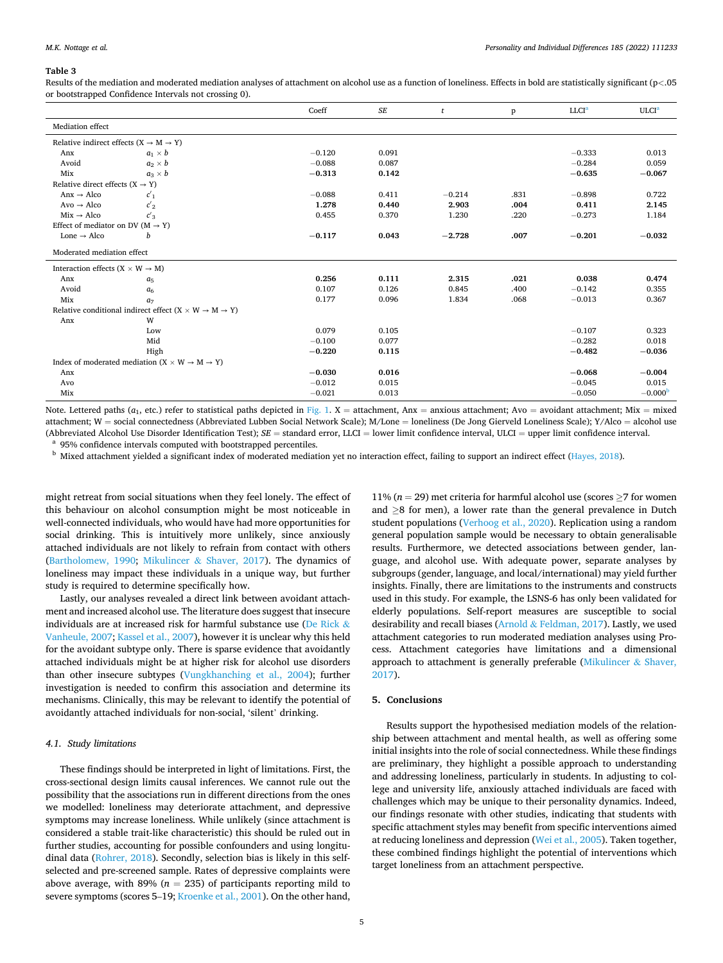#### <span id="page-5-0"></span>**Table 3**

Results of the mediation and moderated mediation analyses of attachment on alcohol use as a function of loneliness. Effects in bold are statistically significant (p*<*.05 or bootstrapped Confidence Intervals not crossing 0).

|                                                             |                                                                                 | Coeff    | <b>SE</b> | t        | p    | LLCI <sup>a</sup> | <b>ULCI<sup>a</sup></b> |
|-------------------------------------------------------------|---------------------------------------------------------------------------------|----------|-----------|----------|------|-------------------|-------------------------|
| Mediation effect                                            |                                                                                 |          |           |          |      |                   |                         |
| Relative indirect effects $(X \rightarrow M \rightarrow Y)$ |                                                                                 |          |           |          |      |                   |                         |
| Anx                                                         | $a_1 \times b$                                                                  | $-0.120$ | 0.091     |          |      | $-0.333$          | 0.013                   |
| Avoid                                                       | $a_2 \times b$                                                                  | $-0.088$ | 0.087     |          |      | $-0.284$          | 0.059                   |
| Mix                                                         | $a_3 \times b$                                                                  | $-0.313$ | 0.142     |          |      | $-0.635$          | $-0.067$                |
| Relative direct effects $(X \rightarrow Y)$                 |                                                                                 |          |           |          |      |                   |                         |
| $Anx \rightarrow Alco$                                      | c <sub>1</sub>                                                                  | $-0.088$ | 0.411     | $-0.214$ | .831 | $-0.898$          | 0.722                   |
| $\text{Avo} \rightarrow \text{Alco}$                        | $c_2$                                                                           | 1.278    | 0.440     | 2.903    | .004 | 0.411             | 2.145                   |
| $Mix \rightarrow Alco$                                      | $c'_{3}$                                                                        | 0.455    | 0.370     | 1.230    | .220 | $-0.273$          | 1.184                   |
| Effect of mediator on DV ( $M \rightarrow Y$ )              |                                                                                 |          |           |          |      |                   |                         |
| Lone $\rightarrow$ Alco                                     | b                                                                               | $-0.117$ | 0.043     | $-2.728$ | .007 | $-0.201$          | $-0.032$                |
| Moderated mediation effect                                  |                                                                                 |          |           |          |      |                   |                         |
| Interaction effects ( $X \times W \rightarrow M$ )          |                                                                                 |          |           |          |      |                   |                         |
| Anx                                                         | a <sub>5</sub>                                                                  | 0.256    | 0.111     | 2.315    | .021 | 0.038             | 0.474                   |
| Avoid                                                       | a <sub>6</sub>                                                                  | 0.107    | 0.126     | 0.845    | .400 | $-0.142$          | 0.355                   |
| Mix                                                         | a <sub>7</sub>                                                                  | 0.177    | 0.096     | 1.834    | .068 | $-0.013$          | 0.367                   |
|                                                             | Relative conditional indirect effect $(X \times W \rightarrow M \rightarrow Y)$ |          |           |          |      |                   |                         |
| Anx                                                         | W                                                                               |          |           |          |      |                   |                         |
|                                                             | Low                                                                             | 0.079    | 0.105     |          |      | $-0.107$          | 0.323                   |
|                                                             | Mid                                                                             | $-0.100$ | 0.077     |          |      | $-0.282$          | 0.018                   |
|                                                             | High                                                                            | $-0.220$ | 0.115     |          |      | $-0.482$          | $-0.036$                |
|                                                             | Index of moderated mediation $(X \times W \rightarrow M \rightarrow Y)$         |          |           |          |      |                   |                         |
| Anx                                                         |                                                                                 | $-0.030$ | 0.016     |          |      | $-0.068$          | $-0.004$                |
| Avo                                                         |                                                                                 | $-0.012$ | 0.015     |          |      | $-0.045$          | 0.015                   |
| Mix                                                         |                                                                                 | $-0.021$ | 0.013     |          |      | $-0.050$          | $-0.000b$               |

Note. Lettered paths  $(a_1, etc.)$  refer to statistical paths depicted in [Fig. 1](#page-3-0). X = attachment, Anx = anxious attachment; Avo = avoidant attachment; Mix = mixed attachment; W = social connectedness (Abbreviated Lubben Social Network Scale); M/Lone = loneliness (De Jong Gierveld Loneliness Scale); Y/Alco = alcohol use (Abbreviated Alcohol Use Disorder Identification Test);  $SE$  = standard error, LLCI = lower limit confidence interval, ULCI = upper limit confidence interval.<br><sup>a</sup> 95% confidence intervals computed with bootstrapped percent

might retreat from social situations when they feel lonely. The effect of this behaviour on alcohol consumption might be most noticeable in well-connected individuals, who would have had more opportunities for social drinking. This is intuitively more unlikely, since anxiously attached individuals are not likely to refrain from contact with others ([Bartholomew, 1990;](#page-6-0) Mikulincer & [Shaver, 2017](#page-7-0)). The dynamics of loneliness may impact these individuals in a unique way, but further study is required to determine specifically how.

Lastly, our analyses revealed a direct link between avoidant attachment and increased alcohol use. The literature does suggest that insecure individuals are at increased risk for harmful substance use [\(De Rick](#page-6-0)  $\&$ [Vanheule, 2007;](#page-6-0) [Kassel et al., 2007\)](#page-7-0), however it is unclear why this held for the avoidant subtype only. There is sparse evidence that avoidantly attached individuals might be at higher risk for alcohol use disorders than other insecure subtypes ([Vungkhanching et al., 2004\)](#page-7-0); further investigation is needed to confirm this association and determine its mechanisms. Clinically, this may be relevant to identify the potential of avoidantly attached individuals for non-social, 'silent' drinking.

# *4.1. Study limitations*

These findings should be interpreted in light of limitations. First, the cross-sectional design limits causal inferences. We cannot rule out the possibility that the associations run in different directions from the ones we modelled: loneliness may deteriorate attachment, and depressive symptoms may increase loneliness. While unlikely (since attachment is considered a stable trait-like characteristic) this should be ruled out in further studies, accounting for possible confounders and using longitudinal data ([Rohrer, 2018](#page-7-0)). Secondly, selection bias is likely in this selfselected and pre-screened sample. Rates of depressive complaints were above average, with 89% ( $n = 235$ ) of participants reporting mild to severe symptoms (scores 5–19; [Kroenke et al., 2001](#page-7-0)). On the other hand,

11% ( $n = 29$ ) met criteria for harmful alcohol use (scores  $\geq 7$  for women and  $\geq$ 8 for men), a lower rate than the general prevalence in Dutch student populations [\(Verhoog et al., 2020](#page-7-0)). Replication using a random general population sample would be necessary to obtain generalisable results. Furthermore, we detected associations between gender, language, and alcohol use. With adequate power, separate analyses by subgroups (gender, language, and local/international) may yield further insights. Finally, there are limitations to the instruments and constructs used in this study. For example, the LSNS-6 has only been validated for elderly populations. Self-report measures are susceptible to social desirability and recall biases (Arnold & [Feldman, 2017](#page-6-0)). Lastly, we used attachment categories to run moderated mediation analyses using Process. Attachment categories have limitations and a dimensional approach to attachment is generally preferable [\(Mikulincer](#page-7-0)  $\&$  Shaver, [2017\)](#page-7-0).

# **5. Conclusions**

Results support the hypothesised mediation models of the relationship between attachment and mental health, as well as offering some initial insights into the role of social connectedness. While these findings are preliminary, they highlight a possible approach to understanding and addressing loneliness, particularly in students. In adjusting to college and university life, anxiously attached individuals are faced with challenges which may be unique to their personality dynamics. Indeed, our findings resonate with other studies, indicating that students with specific attachment styles may benefit from specific interventions aimed at reducing loneliness and depression [\(Wei et al., 2005\)](#page-7-0). Taken together, these combined findings highlight the potential of interventions which target loneliness from an attachment perspective.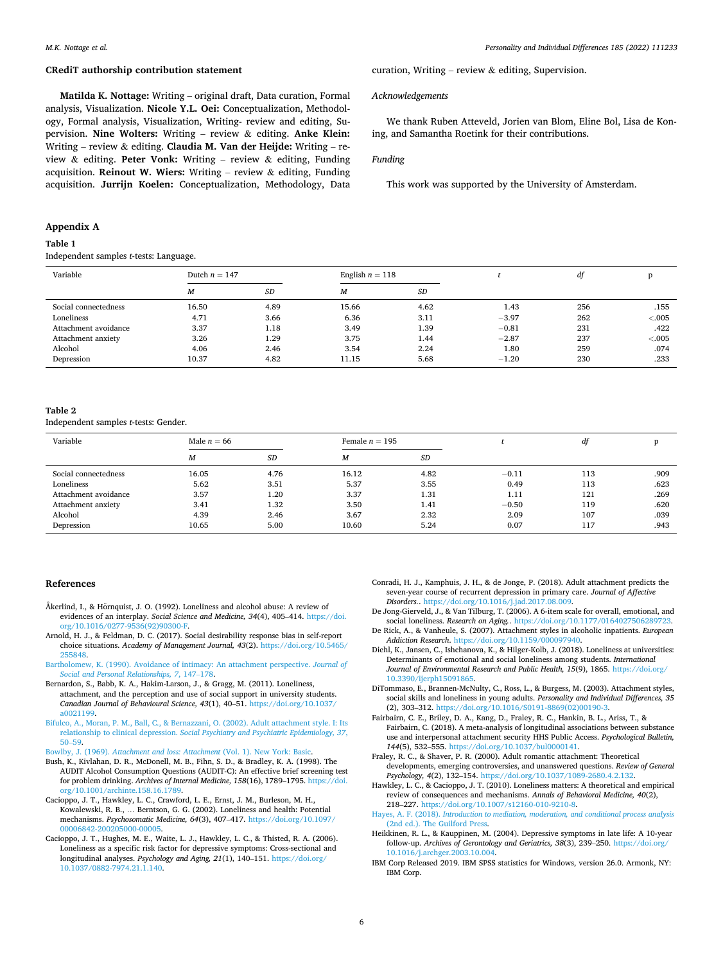curation, Writing – review  $\&$  editing, Supervision.

ing, and Samantha Roetink for their contributions.

We thank Ruben Atteveld, Jorien van Blom, Eline Bol, Lisa de Kon-

This work was supported by the University of Amsterdam.

*Acknowledgements* 

*Funding* 

# <span id="page-6-0"></span>**CRediT authorship contribution statement**

**Matilda K. Nottage:** Writing – original draft, Data curation, Formal analysis, Visualization. **Nicole Y.L. Oei:** Conceptualization, Methodology, Formal analysis, Visualization, Writing- review and editing, Supervision. **Nine Wolters:** Writing – review & editing. **Anke Klein:**  Writing – review & editing. **Claudia M. Van der Heijde:** Writing – review & editing. **Peter Vonk:** Writing – review & editing, Funding acquisition. **Reinout W. Wiers:** Writing – review & editing, Funding acquisition. **Jurrijn Koelen:** Conceptualization, Methodology, Data

## **Appendix A**

### **Table 1**

Independent samples *t*-tests: Language.

| Variable             |       | Dutch $n = 147$ |       | English $n = 118$ |         | df  | n       |
|----------------------|-------|-----------------|-------|-------------------|---------|-----|---------|
|                      | М     | SD              | M     | SD                |         |     |         |
| Social connectedness | 16.50 | 4.89            | 15.66 | 4.62              | 1.43    | 256 | .155    |
| Loneliness           | 4.71  | 3.66            | 6.36  | 3.11              | $-3.97$ | 262 | < 0.005 |
| Attachment avoidance | 3.37  | 1.18            | 3.49  | 1.39              | $-0.81$ | 231 | .422    |
| Attachment anxiety   | 3.26  | 1.29            | 3.75  | 1.44              | $-2.87$ | 237 | < 0.005 |
| Alcohol              | 4.06  | 2.46            | 3.54  | 2.24              | 1.80    | 259 | .074    |
| Depression           | 10.37 | 4.82            | 11.15 | 5.68              | $-1.20$ | 230 | .233    |

#### **Table 2**

Independent samples *t*-tests: Gender.

| Variable             | Male $n = 66$ |           |                  | Female $n = 195$ |         | df  |      |
|----------------------|---------------|-----------|------------------|------------------|---------|-----|------|
|                      | M             | <b>SD</b> | $\boldsymbol{M}$ | SD               |         |     |      |
| Social connectedness | 16.05         | 4.76      | 16.12            | 4.82             | $-0.11$ | 113 | .909 |
| Loneliness           | 5.62          | 3.51      | 5.37             | 3.55             | 0.49    | 113 | .623 |
| Attachment avoidance | 3.57          | 1.20      | 3.37             | 1.31             | 1.11    | 121 | .269 |
| Attachment anxiety   | 3.41          | 1.32      | 3.50             | 1.41             | $-0.50$ | 119 | .620 |
| Alcohol              | 4.39          | 2.46      | 3.67             | 2.32             | 2.09    | 107 | .039 |
| Depression           | 10.65         | 5.00      | 10.60            | 5.24             | 0.07    | 117 | .943 |

#### **References**

- Åkerlind, I., & Hörnquist, J. O. (1992). Loneliness and alcohol abuse: A review of evidences of an interplay. *Social Science and Medicine, 34*(4), 405–414. [https://doi.](https://doi.org/10.1016/0277-9536(92)90300-F)  [org/10.1016/0277-9536\(92\)90300-F.](https://doi.org/10.1016/0277-9536(92)90300-F)
- Arnold, H. J., & Feldman, D. C. (2017). Social desirability response bias in self-report choice situations. *Academy of Management Journal, 43*(2). [https://doi.org/10.5465/](https://doi.org/10.5465/255848)  [255848](https://doi.org/10.5465/255848).
- [Bartholomew, K. \(1990\). Avoidance of intimacy: An attachment perspective.](http://refhub.elsevier.com/S0191-8869(21)00612-7/rf0015) *Journal of [Social and Personal Relationships, 7](http://refhub.elsevier.com/S0191-8869(21)00612-7/rf0015)*, 147–178.
- Bernardon, S., Babb, K. A., Hakim-Larson, J., & Gragg, M. (2011). Loneliness, attachment, and the perception and use of social support in university students. *Canadian Journal of Behavioural Science, 43*(1), 40–51. [https://doi.org/10.1037/](https://doi.org/10.1037/a0021199) [a0021199.](https://doi.org/10.1037/a0021199)
- [Bifulco, A., Moran, P. M., Ball, C., & Bernazzani, O. \(2002\). Adult attachment style. I: Its](http://refhub.elsevier.com/S0191-8869(21)00612-7/rf0025)  relationship to clinical depression. *[Social Psychiatry and Psychiatric Epidemiology, 37](http://refhub.elsevier.com/S0191-8869(21)00612-7/rf0025)*, 50–[59](http://refhub.elsevier.com/S0191-8869(21)00612-7/rf0025).
- Bowlby, J. (1969). *[Attachment and loss: Attachment](http://refhub.elsevier.com/S0191-8869(21)00612-7/rf0030)* (Vol. 1). New York: Basic.
- Bush, K., Kivlahan, D. R., McDonell, M. B., Fihn, S. D., & Bradley, K. A. (1998). The AUDIT Alcohol Consumption Questions (AUDIT-C): An effective brief screening test for problem drinking. *Archives of Internal Medicine, 158*(16), 1789–1795. [https://doi.](https://doi.org/10.1001/archinte.158.16.1789)  [org/10.1001/archinte.158.16.1789](https://doi.org/10.1001/archinte.158.16.1789).
- Cacioppo, J. T., Hawkley, L. C., Crawford, L. E., Ernst, J. M., Burleson, M. H., Kowalewski, R. B., … Berntson, G. G. (2002). Loneliness and health: Potential mechanisms. *Psychosomatic Medicine, 64*(3), 407–417. [https://doi.org/10.1097/](https://doi.org/10.1097/00006842-200205000-00005) [00006842-200205000-00005.](https://doi.org/10.1097/00006842-200205000-00005)
- Cacioppo, J. T., Hughes, M. E., Waite, L. J., Hawkley, L. C., & Thisted, R. A. (2006). Loneliness as a specific risk factor for depressive symptoms: Cross-sectional and longitudinal analyses. *Psychology and Aging, 21*(1), 140–151. [https://doi.org/](https://doi.org/10.1037/0882-7974.21.1.140) [10.1037/0882-7974.21.1.140.](https://doi.org/10.1037/0882-7974.21.1.140)
- Conradi, H. J., Kamphuis, J. H., & de Jonge, P. (2018). Adult attachment predicts the seven-year course of recurrent depression in primary care. *Journal of Affective Disorders.*. [https://doi.org/10.1016/j.jad.2017.08.009.](https://doi.org/10.1016/j.jad.2017.08.009)
- De Jong-Gierveld, J., & Van Tilburg, T. (2006). A 6-item scale for overall, emotional, and social loneliness. *Research on Aging.*. [https://doi.org/10.1177/0164027506289723.](https://doi.org/10.1177/0164027506289723)
- De Rick, A., & Vanheule, S. (2007). Attachment styles in alcoholic inpatients. *European Addiction Research*. <https://doi.org/10.1159/000097940>.
- Diehl, K., Jansen, C., Ishchanova, K., & Hilger-Kolb, J. (2018). Loneliness at universities: Determinants of emotional and social loneliness among students. *International Journal of Environmental Research and Public Health, 15*(9), 1865. [https://doi.org/](https://doi.org/10.3390/ijerph15091865) [10.3390/ijerph15091865](https://doi.org/10.3390/ijerph15091865).
- DiTommaso, E., Brannen-McNulty, C., Ross, L., & Burgess, M. (2003). Attachment styles, social skills and loneliness in young adults. *Personality and Individual Differences, 35*  (2), 303–312. [https://doi.org/10.1016/S0191-8869\(02\)00190-3.](https://doi.org/10.1016/S0191-8869(02)00190-3)
- Fairbairn, C. E., Briley, D. A., Kang, D., Fraley, R. C., Hankin, B. L., Ariss, T., & Fairbairn, C. (2018). A meta-analysis of longitudinal associations between substance use and interpersonal attachment security HHS Public Access. *Psychological Bulletin, 144*(5), 532–555. <https://doi.org/10.1037/bul0000141>.
- Fraley, R. C., & Shaver, P. R. (2000). Adult romantic attachment: Theoretical developments, emerging controversies, and unanswered questions. *Review of General Psychology, 4*(2), 132–154.<https://doi.org/10.1037/1089-2680.4.2.132>.
- Hawkley, L. C., & Cacioppo, J. T. (2010). Loneliness matters: A theoretical and empirical review of consequences and mechanisms. *Annals of Behavioral Medicine, 40*(2), 218–227. <https://doi.org/10.1007/s12160-010-9210-8>.
- Hayes, A. F. (2018). *[Introduction to mediation, moderation, and conditional process analysis](http://refhub.elsevier.com/S0191-8869(21)00612-7/rf0090)*  [\(2nd ed.\). The Guilford Press](http://refhub.elsevier.com/S0191-8869(21)00612-7/rf0090).
- Heikkinen, R. L., & Kauppinen, M. (2004). Depressive symptoms in late life: A 10-year follow-up. *Archives of Gerontology and Geriatrics, 38*(3), 239–250. [https://doi.org/](https://doi.org/10.1016/j.archger.2003.10.004)  [10.1016/j.archger.2003.10.004.](https://doi.org/10.1016/j.archger.2003.10.004)
- IBM Corp Released 2019. IBM SPSS statistics for Windows, version 26.0. Armonk, NY: IBM Corp.